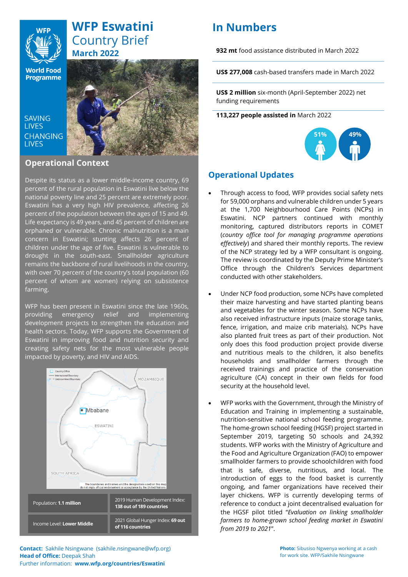

# **WFP Eswatini** Country Brief **March 2022**

**World Food Programme** 

**SAVING LIVES CHANGING LIVES** 



### **Operational Context**

Despite its status as a lower middle-income country, 69 percent of the rural population in Eswatini live below the national poverty line and 25 percent are extremely poor. Eswatini has a very high HIV prevalence, affecting 26 percent of the population between the ages of 15 and 49. Life expectancy is 49 years, and 45 percent of children are orphaned or vulnerable. Chronic malnutrition is a main concern in Eswatini; stunting affects 26 percent of children under the age of five. Eswatini is vulnerable to drought in the south-east. Smallholder agriculture remains the backbone of rural livelihoods in the country, with over 70 percent of the country's total population (60 percent of whom are women) relying on subsistence farming.

WFP has been present in Eswatini since the late 1960s, providing emergency relief and implementing development projects to strengthen the education and health sectors. Today, WFP supports the Government of Eswatini in improving food and nutrition security and creating safety nets for the most vulnerable people impacted by poverty, and HIV and AIDS.



# **In Numbers**

**932 mt** food assistance distributed in March 2022

**US\$ 277,008** cash-based transfers made in March 2022

**US\$ 2 million** six-month (April-September 2022) net funding requirements

**113,227 people assisted in** March 2022



## **Operational Updates**

- Through access to food, WFP provides social safety nets for 59,000 orphans and vulnerable children under 5 years at the 1,700 Neighbourhood Care Points (NCPs) in Eswatini. NCP partners continued with monthly monitoring, captured distributors reports in COMET (*country office tool for managing programme operations effectively*) and shared their monthly reports. The review of the NCP strategy led by a WFP consultant is ongoing. The review is coordinated by the Deputy Prime Minister's Office through the Children's Services department conducted with other stakeholders.
- Under NCP food production, some NCPs have completed their maize harvesting and have started planting beans and vegetables for the winter season. Some NCPs have also received infrastructure inputs (maize storage tanks, fence, irrigation, and maize crib materials). NCPs have also planted fruit trees as part of their production. Not only does this food production project provide diverse and nutritious meals to the children, it also benefits households and smallholder farmers through the received trainings and practice of the conservation agriculture (CA) concept in their own fields for food security at the household level.
- WFP works with the Government, through the Ministry of Education and Training in implementing a sustainable, nutrition-sensitive national school feeding programme. The home-grown school feeding (HGSF) project started in September 2019, targeting 50 schools and 24,392 students. WFP works with the Ministry of Agriculture and the Food and Agriculture Organization (FAO) to empower smallholder farmers to provide schoolchildren with food that is safe, diverse, nutritious, and local. The introduction of eggs to the food basket is currently ongoing, and famer organizations have received their layer chickens. WFP is currently developing terms of reference to conduct a joint decentralised evaluation for the HGSF pilot titled "*Evaluation on linking smallholder farmers to home-grown school feeding market in Eswatini from 2019 to 2021*".

**Contact:** Sakhile Nsingwane (sakhile.nsingwane@wfp.org) **Head of Office:** Deepak Shah Further information: **www.wfp.org/countries/Eswatini**